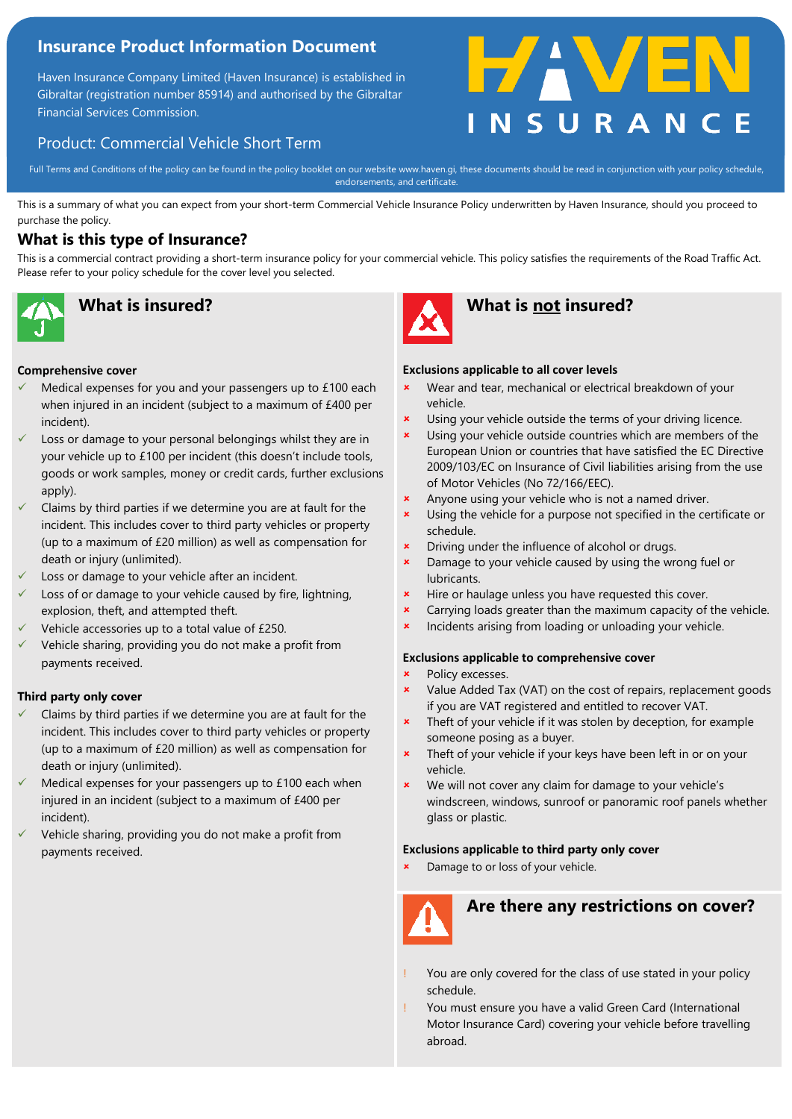# **Insurance Product Information Document**

Haven Insurance Company Limited (Haven Insurance) is established in Gibraltar (registration number 85914) and authorised by the Gibraltar Financial Services Commission.

# **HAV**

# Product: Commercial Vehicle Short Term

Full Terms and Conditions of the policy can be found in the policy booklet on our website www.haven.gi, these documents should be read in conjunction with your policy schedule, endorsements, and certificate.

This is a summary of what you can expect from your short-term Commercial Vehicle Insurance Policy underwritten by Haven Insurance, should you proceed to purchase the policy.

## **What is this type of Insurance?**

This is a commercial contract providing a short-term insurance policy for your commercial vehicle. This policy satisfies the requirements of the Road Traffic Act. Please refer to your policy schedule for the cover level you selected.



### **Comprehensive cover**

- Medical expenses for you and your passengers up to £100 each when injured in an incident (subject to a maximum of £400 per incident).
- Loss or damage to your personal belongings whilst they are in your vehicle up to £100 per incident (this doesn't include tools, goods or work samples, money or credit cards, further exclusions apply).
- Claims by third parties if we determine you are at fault for the incident. This includes cover to third party vehicles or property (up to a maximum of £20 million) as well as compensation for death or injury (unlimited).
- Loss or damage to your vehicle after an incident.
- Loss of or damage to your vehicle caused by fire, lightning, explosion, theft, and attempted theft.
- Vehicle accessories up to a total value of £250.
- Vehicle sharing, providing you do not make a profit from payments received.

### **Third party only cover**

- Claims by third parties if we determine you are at fault for the incident. This includes cover to third party vehicles or property (up to a maximum of £20 million) as well as compensation for death or injury (unlimited).
- Medical expenses for your passengers up to £100 each when injured in an incident (subject to a maximum of £400 per incident).
- Vehicle sharing, providing you do not make a profit from payments received.



# **What is insured? What is not insured?**

### **Exclusions applicable to all cover levels**

- Wear and tear, mechanical or electrical breakdown of your vehicle.
- **x** Using your vehicle outside the terms of your driving licence.
- **x** Using your vehicle outside countries which are members of the European Union or countries that have satisfied the EC Directive 2009/103/EC on Insurance of Civil liabilities arising from the use of Motor Vehicles (No 72/166/EEC).
- Anyone using your vehicle who is not a named driver.
- Using the vehicle for a purpose not specified in the certificate or schedule.
- Driving under the influence of alcohol or drugs.
- Damage to your vehicle caused by using the wrong fuel or lubricants.
- **\*** Hire or haulage unless you have requested this cover.
- Carrying loads greater than the maximum capacity of the vehicle.
- Incidents arising from loading or unloading your vehicle.

### **Exclusions applicable to comprehensive cover**

- **\*** Policy excesses.
- Value Added Tax (VAT) on the cost of repairs, replacement goods if you are VAT registered and entitled to recover VAT.
- **\*** Theft of your vehicle if it was stolen by deception, for example someone posing as a buyer.
- Theft of your vehicle if your keys have been left in or on your vehicle.
- We will not cover any claim for damage to your vehicle's windscreen, windows, sunroof or panoramic roof panels whether glass or plastic.

### **Exclusions applicable to third party only cover**

Damage to or loss of your vehicle.



# **Are there any restrictions on cover?**

- You are only covered for the class of use stated in your policy schedule.
- ! You must ensure you have a valid Green Card (International Motor Insurance Card) covering your vehicle before travelling abroad.